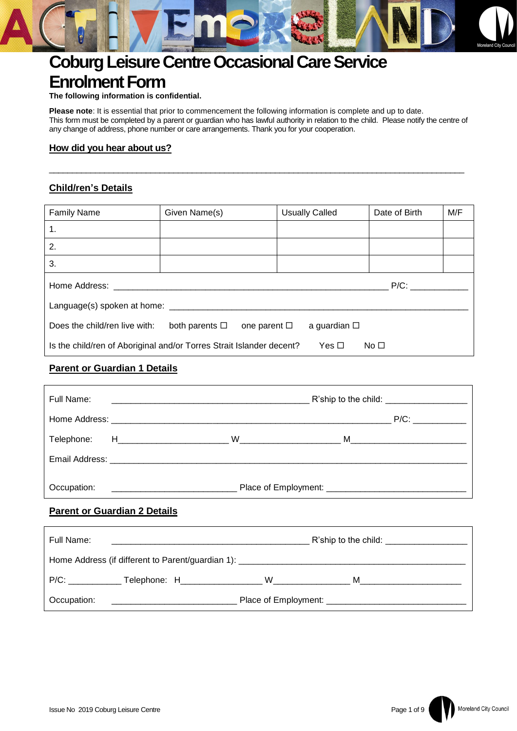# **Coburg Leisure Centre Occasional Care Service Enrolment Form**

#### **The following information is confidential.**

**Please note**: It is essential that prior to commencement the following information is complete and up to date. This form must be completed by a parent or guardian who has lawful authority in relation to the child. Please notify the centre of any change of address, phone number or care arrangements. Thank you for your cooperation.

 $\_$  , and the set of the set of the set of the set of the set of the set of the set of the set of the set of the set of the set of the set of the set of the set of the set of the set of the set of the set of the set of th

## **How did you hear about us?**

# **Child/ren's Details**

| <b>Family Name</b>                                                                                             | Given Name(s)          |                      | <b>Usually Called</b> | Date of Birth | M/F |
|----------------------------------------------------------------------------------------------------------------|------------------------|----------------------|-----------------------|---------------|-----|
| 1.                                                                                                             |                        |                      |                       |               |     |
| 2.                                                                                                             |                        |                      |                       |               |     |
| 3.                                                                                                             |                        |                      |                       |               |     |
| Home Address: North Market Street Street Street Street Street Street Street Street Street Street Street Street |                        |                      |                       | $P/C$ :       |     |
|                                                                                                                |                        |                      |                       |               |     |
| Does the child/ren live with:                                                                                  | both parents $\square$ | one parent $\square$ | a guardian $\square$  |               |     |
| Is the child/ren of Aboriginal and/or Torres Strait Islander decent?                                           |                        |                      | Yes □                 | No $\Box$     |     |

# **Parent or Guardian 1 Details**

|            |                                     |                                                                                                                       | R'ship to the child: ___________________ |
|------------|-------------------------------------|-----------------------------------------------------------------------------------------------------------------------|------------------------------------------|
|            |                                     |                                                                                                                       |                                          |
|            |                                     |                                                                                                                       |                                          |
|            |                                     |                                                                                                                       |                                          |
|            |                                     |                                                                                                                       |                                          |
|            | <b>Parent or Guardian 2 Details</b> |                                                                                                                       |                                          |
| Full Name: |                                     | <u> 1980 - Antonio Alemania, presidente de la contrada de la contrada de la contrada de la contrada de la contrad</u> |                                          |

| Home Address (if different to Parent/guardian 1): |                      |   |  |
|---------------------------------------------------|----------------------|---|--|
| $P/C$ :<br>Telephone: H                           | w                    | м |  |
| Occupation:                                       | Place of Employment: |   |  |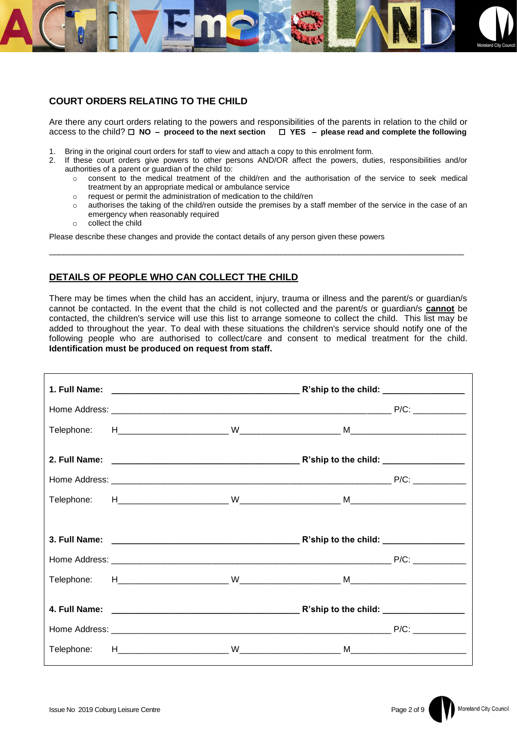# **COURT ORDERS RELATING TO THE CHILD**

Are there any court orders relating to the powers and responsibilities of the parents in relation to the child or access to the child?  **NO – proceed to the next section YES – please read and complete the following** 

- 1. Bring in the original court orders for staff to view and attach a copy to this enrolment form.
- 2. If these court orders give powers to other persons AND/OR affect the powers, duties, responsibilities and/or authorities of a parent or guardian of the child to:
	- o consent to the medical treatment of the child/ren and the authorisation of the service to seek medical treatment by an appropriate medical or ambulance service
	- o request or permit the administration of medication to the child/ren
	- $\circ$  authorises the taking of the child/ren outside the premises by a staff member of the service in the case of an emergency when reasonably required
	- o collect the child

Please describe these changes and provide the contact details of any person given these powers

# **DETAILS OF PEOPLE WHO CAN COLLECT THE CHILD**

There may be times when the child has an accident, injury, trauma or illness and the parent/s or guardian/s cannot be contacted. In the event that the child is not collected and the parent/s or guardian/s **cannot** be contacted, the children's service will use this list to arrange someone to collect the child. This list may be added to throughout the year. To deal with these situations the children's service should notify one of the following people who are authorised to collect/care and consent to medical treatment for the child. **Identification must be produced on request from staff.**

\_\_\_\_\_\_\_\_\_\_\_\_\_\_\_\_\_\_\_\_\_\_\_\_\_\_\_\_\_\_\_\_\_\_\_\_\_\_\_\_\_\_\_\_\_\_\_\_\_\_\_\_\_\_\_\_\_\_\_\_\_\_\_\_\_\_\_\_\_\_\_\_\_\_\_\_\_\_\_\_\_\_\_\_\_\_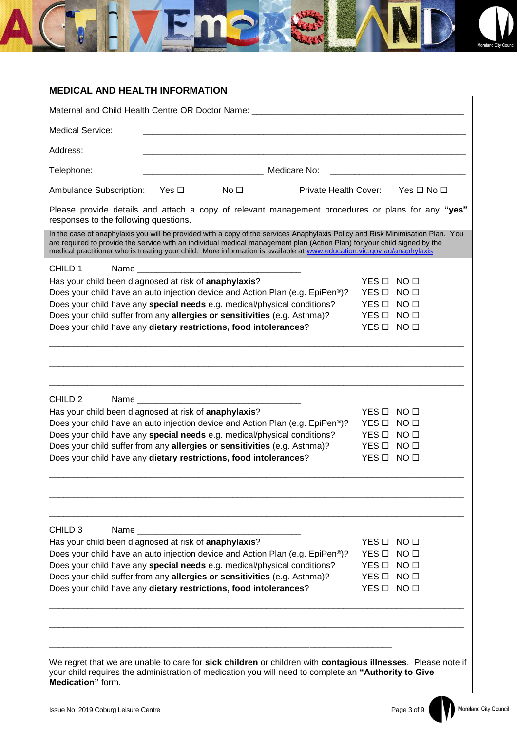

# **MEDICAL AND HEALTH INFORMATION**

| Maternal and Child Health Centre OR Doctor Name: _______________________________                                                                                                                                                                                                                                                                                                                                                                                                                                                |                                                |                                                                                             |  |
|---------------------------------------------------------------------------------------------------------------------------------------------------------------------------------------------------------------------------------------------------------------------------------------------------------------------------------------------------------------------------------------------------------------------------------------------------------------------------------------------------------------------------------|------------------------------------------------|---------------------------------------------------------------------------------------------|--|
| <b>Medical Service:</b>                                                                                                                                                                                                                                                                                                                                                                                                                                                                                                         |                                                |                                                                                             |  |
| Address:                                                                                                                                                                                                                                                                                                                                                                                                                                                                                                                        |                                                |                                                                                             |  |
| Medicare No:<br>Telephone:                                                                                                                                                                                                                                                                                                                                                                                                                                                                                                      |                                                |                                                                                             |  |
| No <sub>1</sub><br>Private Health Cover:<br>Ambulance Subscription:<br>Yes $\Box$                                                                                                                                                                                                                                                                                                                                                                                                                                               |                                                | Yes $\Box$ No $\Box$                                                                        |  |
| Please provide details and attach a copy of relevant management procedures or plans for any "yes"<br>responses to the following questions.                                                                                                                                                                                                                                                                                                                                                                                      |                                                |                                                                                             |  |
| In the case of anaphylaxis you will be provided with a copy of the services Anaphylaxis Policy and Risk Minimisation Plan. You<br>are required to provide the service with an individual medical management plan (Action Plan) for your child signed by the<br>medical practitioner who is treating your child. More information is available at www.education.vic.gov.au/anaphylaxis                                                                                                                                           |                                                |                                                                                             |  |
| CHILD 1<br>Name and the set of the set of the set of the set of the set of the set of the set of the set of the set of the<br>Has your child been diagnosed at risk of anaphylaxis?<br>Does your child have an auto injection device and Action Plan (e.g. EpiPen <sup>®</sup> )?<br>Does your child have any special needs e.g. medical/physical conditions?<br>Does your child suffer from any allergies or sensitivities (e.g. Asthma)?<br>Does your child have any dietary restrictions, food intolerances?                 | YES □<br>YES □<br>YES □<br>YES □<br>YES □      | NO <sub>0</sub><br>NO <sub>0</sub><br>NO <sub>1</sub><br>NO <sub>1</sub><br>NO <sub>1</sub> |  |
| CHILD <sub>2</sub><br>Has your child been diagnosed at risk of anaphylaxis?<br>Does your child have an auto injection device and Action Plan (e.g. EpiPen <sup>®</sup> )?<br>Does your child have any special needs e.g. medical/physical conditions?<br>Does your child suffer from any allergies or sensitivities (e.g. Asthma)?<br>Does your child have any dietary restrictions, food intolerances?                                                                                                                         | YES □<br>YES □<br>YES □<br>YES □<br>YES O NO O | NO <sub>II</sub><br>NO <sub>II</sub><br>NO <sub>0</sub><br>NO <sub>0</sub>                  |  |
| CHILD <sub>3</sub><br>Name<br>Has your child been diagnosed at risk of anaphylaxis?<br>Does your child have an auto injection device and Action Plan (e.g. EpiPen <sup>®</sup> )?<br>Does your child have any special needs e.g. medical/physical conditions?<br>Does your child suffer from any allergies or sensitivities (e.g. Asthma)?<br>Does your child have any dietary restrictions, food intolerances?<br>We regret that we are unable to care for sick children or children with contagious illnesses. Please note if | YES □<br>YES □<br>YES □<br>YES O NO O<br>YES □ | NO <sub>0</sub><br>NO <sub>0</sub><br>NO <sub>1</sub><br>NO <sub>II</sub>                   |  |
| your child requires the administration of medication you will need to complete an "Authority to Give<br>Medication" form.                                                                                                                                                                                                                                                                                                                                                                                                       |                                                |                                                                                             |  |

Moreland City Council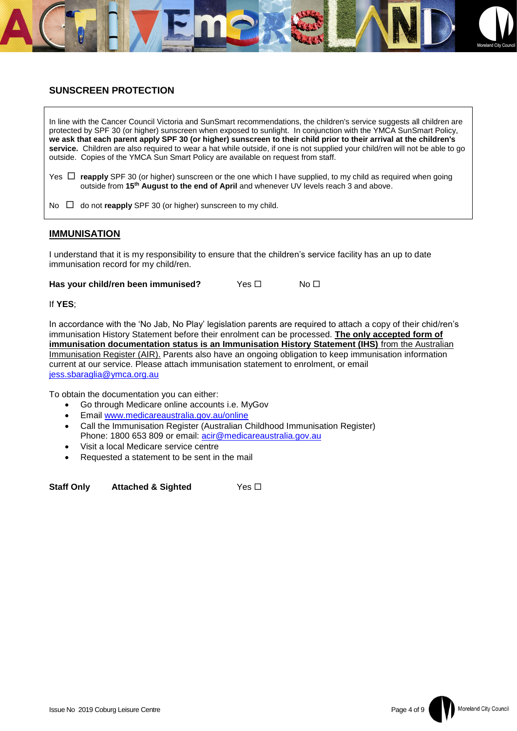

In line with the Cancer Council Victoria and SunSmart recommendations, the children's service suggests all children are protected by SPF 30 (or higher) sunscreen when exposed to sunlight. In conjunction with the YMCA SunSmart Policy, **we ask that each parent apply SPF 30 (or higher) sunscreen to their child prior to their arrival at the children's service.** Children are also required to wear a hat while outside, if one is not supplied your child/ren will not be able to go outside. Copies of the YMCA Sun Smart Policy are available on request from staff. Yes  $\Box$  reapply SPF 30 (or higher) sunscreen or the one which I have supplied, to my child as required when going outside from **15th August to the end of April** and whenever UV levels reach 3 and above. No  $\Box$  do not **reapply** SPF 30 (or higher) sunscreen to my child.

# **IMMUNISATION**

I understand that it is my responsibility to ensure that the children's service facility has an up to date immunisation record for my child/ren.

**Has your child/ren been immunised?** Yes □ No □

If **YES**;

In accordance with the 'No Jab, No Play' legislation parents are required to attach a copy of their chid/ren's immunisation History Statement before their enrolment can be processed. **The only accepted form of immunisation documentation status is an Immunisation History Statement (IHS)** from the Australian Immunisation Register (AIR). Parents also have an ongoing obligation to keep immunisation information current at our service. Please attach immunisation statement to enrolment, or email [jess.sbaraglia@ymca.org.au](mailto:jess.sbaraglia@ymca.org.au)

To obtain the documentation you can either:

- Go through Medicare online accounts i.e. MyGov
- Email [www.medicareaustralia.gov.au/online](http://www.medicareaustralia.gov.au/online)
- Call the Immunisation Register (Australian Childhood Immunisation Register) Phone: 1800 653 809 or email: [acir@medicareaustralia.gov.au](mailto:acir@medicareaustralia.gov.au)
- Visit a local Medicare service centre
- Requested a statement to be sent in the mail

**Staff Only 4ttached & Sighted 7es** □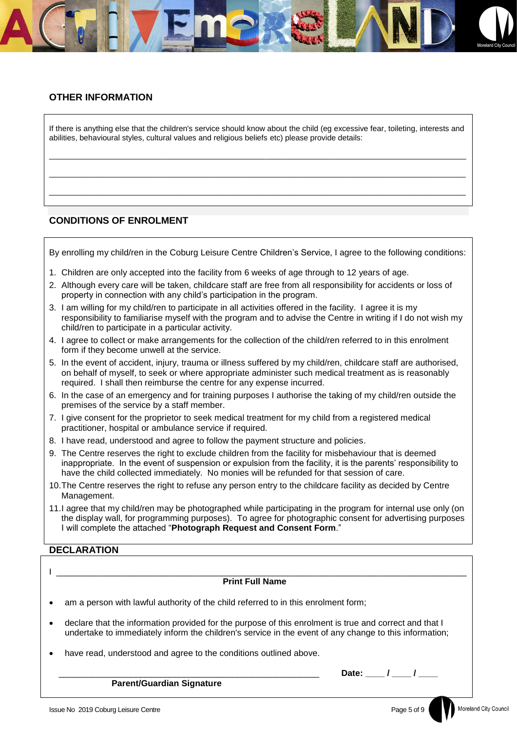# **OTHER INFORMATION**

If there is anything else that the children's service should know about the child (eg excessive fear, toileting, interests and abilities, behavioural styles, cultural values and religious beliefs etc) please provide details:

 $\_$  ,  $\_$  ,  $\_$  ,  $\_$  ,  $\_$  ,  $\_$  ,  $\_$  ,  $\_$  ,  $\_$  ,  $\_$  ,  $\_$  ,  $\_$  ,  $\_$  ,  $\_$  ,  $\_$  ,  $\_$  ,  $\_$  ,  $\_$  ,  $\_$  ,  $\_$  ,  $\_$  ,  $\_$  ,  $\_$  ,  $\_$  ,  $\_$  ,  $\_$  ,  $\_$  ,  $\_$  ,  $\_$  ,  $\_$  ,  $\_$  ,  $\_$  ,  $\_$  ,  $\_$  ,  $\_$  ,  $\_$  ,  $\_$  ,

 $\_$  ,  $\_$  ,  $\_$  ,  $\_$  ,  $\_$  ,  $\_$  ,  $\_$  ,  $\_$  ,  $\_$  ,  $\_$  ,  $\_$  ,  $\_$  ,  $\_$  ,  $\_$  ,  $\_$  ,  $\_$  ,  $\_$  ,  $\_$  ,  $\_$  ,  $\_$  ,  $\_$  ,  $\_$  ,  $\_$  ,  $\_$  ,  $\_$  ,  $\_$  ,  $\_$  ,  $\_$  ,  $\_$  ,  $\_$  ,  $\_$  ,  $\_$  ,  $\_$  ,  $\_$  ,  $\_$  ,  $\_$  ,  $\_$  ,

 $\_$  ,  $\_$  ,  $\_$  ,  $\_$  ,  $\_$  ,  $\_$  ,  $\_$  ,  $\_$  ,  $\_$  ,  $\_$  ,  $\_$  ,  $\_$  ,  $\_$  ,  $\_$  ,  $\_$  ,  $\_$  ,  $\_$  ,  $\_$  ,  $\_$  ,  $\_$  ,  $\_$  ,  $\_$  ,  $\_$  ,  $\_$  ,  $\_$  ,  $\_$  ,  $\_$  ,  $\_$  ,  $\_$  ,  $\_$  ,  $\_$  ,  $\_$  ,  $\_$  ,  $\_$  ,  $\_$  ,  $\_$  ,  $\_$  ,

# **CONDITIONS OF ENROLMENT**

|           | By enrolling my child/ren in the Coburg Leisure Centre Children's Service, I agree to the following conditions:                                                                                                                                                                                                        |
|-----------|------------------------------------------------------------------------------------------------------------------------------------------------------------------------------------------------------------------------------------------------------------------------------------------------------------------------|
|           | 1. Children are only accepted into the facility from 6 weeks of age through to 12 years of age.                                                                                                                                                                                                                        |
|           | 2. Although every care will be taken, childcare staff are free from all responsibility for accidents or loss of<br>property in connection with any child's participation in the program.                                                                                                                               |
|           | 3. I am willing for my child/ren to participate in all activities offered in the facility. I agree it is my<br>responsibility to familiarise myself with the program and to advise the Centre in writing if I do not wish my<br>child/ren to participate in a particular activity.                                     |
|           | 4. I agree to collect or make arrangements for the collection of the child/ren referred to in this enrolment<br>form if they become unwell at the service.                                                                                                                                                             |
|           | 5. In the event of accident, injury, trauma or illness suffered by my child/ren, childcare staff are authorised,<br>on behalf of myself, to seek or where appropriate administer such medical treatment as is reasonably<br>required. I shall then reimburse the centre for any expense incurred.                      |
|           | 6. In the case of an emergency and for training purposes I authorise the taking of my child/ren outside the<br>premises of the service by a staff member.                                                                                                                                                              |
|           | 7. I give consent for the proprietor to seek medical treatment for my child from a registered medical<br>practitioner, hospital or ambulance service if required.                                                                                                                                                      |
|           | 8. I have read, understood and agree to follow the payment structure and policies.                                                                                                                                                                                                                                     |
|           | 9. The Centre reserves the right to exclude children from the facility for misbehaviour that is deemed<br>inappropriate. In the event of suspension or expulsion from the facility, it is the parents' responsibility to<br>have the child collected immediately. No monies will be refunded for that session of care. |
|           | 10. The Centre reserves the right to refuse any person entry to the childcare facility as decided by Centre<br>Management.                                                                                                                                                                                             |
|           | 11.I agree that my child/ren may be photographed while participating in the program for internal use only (on<br>the display wall, for programming purposes). To agree for photographic consent for advertising purposes<br>I will complete the attached "Photograph Request and Consent Form."                        |
|           | <b>DECLARATION</b>                                                                                                                                                                                                                                                                                                     |
|           |                                                                                                                                                                                                                                                                                                                        |
|           | <b>Print Full Name</b>                                                                                                                                                                                                                                                                                                 |
|           | am a person with lawful authority of the child referred to in this enrolment form;                                                                                                                                                                                                                                     |
| $\bullet$ | declare that the information provided for the purpose of this enrolment is true and correct and that I<br>undertake to immediately inform the children's service in the event of any change to this information;                                                                                                       |
|           | have read, understood and agree to the conditions outlined above.                                                                                                                                                                                                                                                      |
|           | Date: $\frac{1}{\sqrt{2}}$                                                                                                                                                                                                                                                                                             |
|           | <b>Parent/Guardian Signature</b>                                                                                                                                                                                                                                                                                       |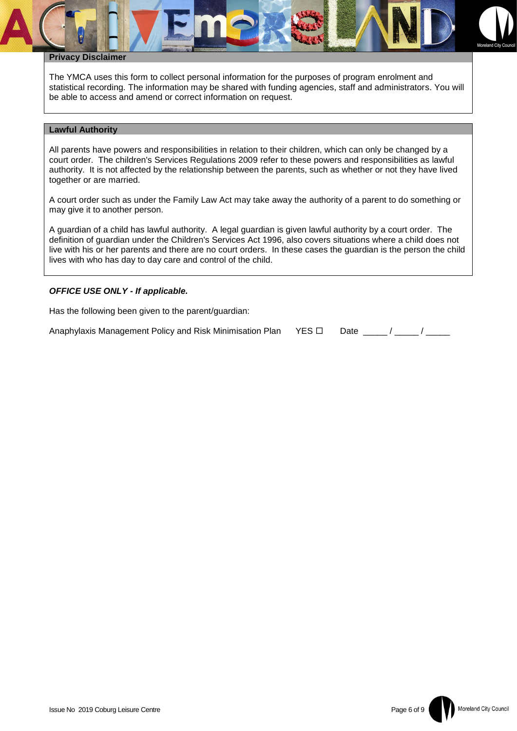#### **Privacy Disclaimer**

The YMCA uses this form to collect personal information for the purposes of program enrolment and statistical recording. The information may be shared with funding agencies, staff and administrators. You will be able to access and amend or correct information on request.

#### **Lawful Authority**

All parents have powers and responsibilities in relation to their children, which can only be changed by a court order. The children's Services Regulations 2009 refer to these powers and responsibilities as lawful authority. It is not affected by the relationship between the parents, such as whether or not they have lived together or are married.

A court order such as under the Family Law Act may take away the authority of a parent to do something or may give it to another person.

A guardian of a child has lawful authority. A legal guardian is given lawful authority by a court order. The definition of guardian under the Children's Services Act 1996, also covers situations where a child does not live with his or her parents and there are no court orders. In these cases the guardian is the person the child lives with who has day to day care and control of the child.

#### *OFFICE USE ONLY - If applicable.*

Has the following been given to the parent/guardian:

| Anaphylaxis Management Policy and Risk Minimisation Plan $YES \Box$ Date |  |  |  |
|--------------------------------------------------------------------------|--|--|--|
|--------------------------------------------------------------------------|--|--|--|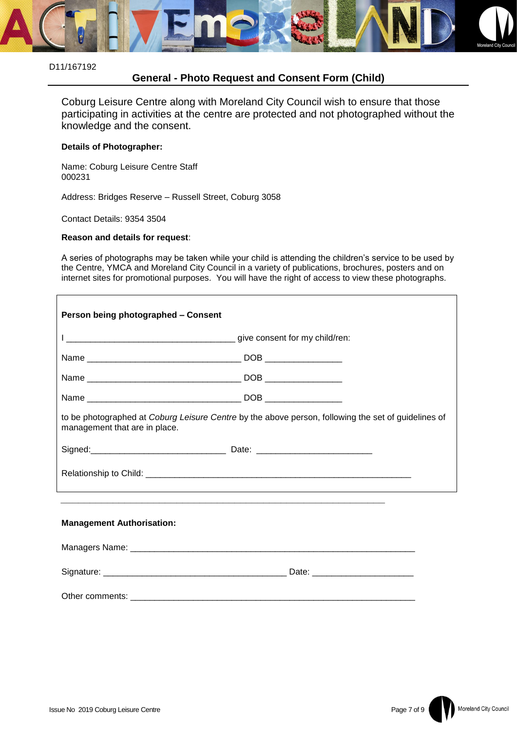

#### D11/167192

# **General - Photo Request and Consent Form (Child)**

Coburg Leisure Centre along with Moreland City Council wish to ensure that those participating in activities at the centre are protected and not photographed without the knowledge and the consent.

#### **Details of Photographer:**

Name: Coburg Leisure Centre Staff 000231

Address: Bridges Reserve – Russell Street, Coburg 3058

Contact Details: 9354 3504

#### **Reason and details for request**:

A series of photographs may be taken while your child is attending the children's service to be used by the Centre, YMCA and Moreland City Council in a variety of publications, brochures, posters and on internet sites for promotional purposes. You will have the right of access to view these photographs.

| Person being photographed - Consent                                                                                                  |
|--------------------------------------------------------------------------------------------------------------------------------------|
|                                                                                                                                      |
|                                                                                                                                      |
|                                                                                                                                      |
|                                                                                                                                      |
| to be photographed at Coburg Leisure Centre by the above person, following the set of guidelines of<br>management that are in place. |
|                                                                                                                                      |
|                                                                                                                                      |
|                                                                                                                                      |
| <b>Management Authorisation:</b>                                                                                                     |
|                                                                                                                                      |
|                                                                                                                                      |
|                                                                                                                                      |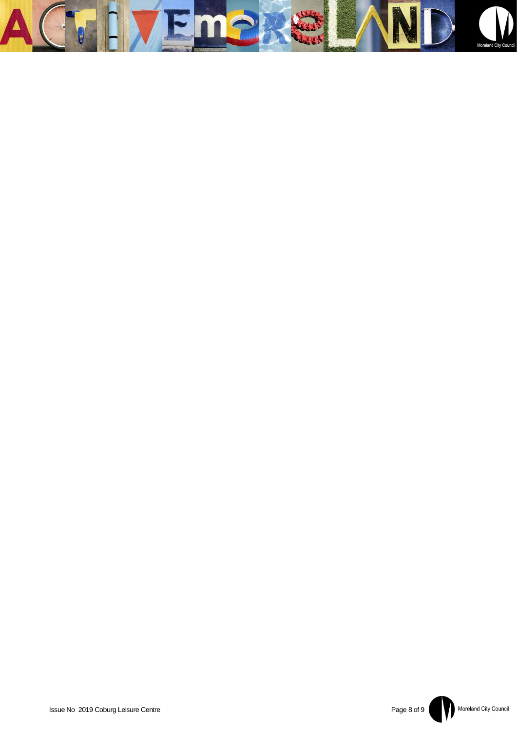